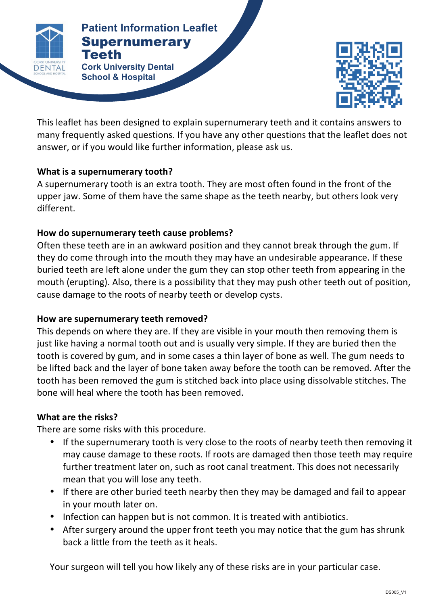

### *Patient**Information* **<b>***Information* **Patient Information Leaflet** Supernumerary Teeth

**SUPERING THE SUPERING TO AN INCOME. Cork University Dental School & Hospital**



This leaflet has been designed to explain supernumerary teeth and it contains answers to many frequently asked questions. If you have any other questions that the leaflet does not answer, or if you would like further information, please ask us.

# **What is a supernumerary tooth?**

A supernumerary tooth is an extra tooth. They are most often found in the front of the upper jaw. Some of them have the same shape as the teeth nearby, but others look very different. 

## How do supernumerary teeth cause problems?

Often these teeth are in an awkward position and they cannot break through the gum. If they do come through into the mouth they may have an undesirable appearance. If these buried teeth are left alone under the gum they can stop other teeth from appearing in the mouth (erupting). Also, there is a possibility that they may push other teeth out of position, cause damage to the roots of nearby teeth or develop cysts.

### How are supernumerary teeth removed?

This depends on where they are. If they are visible in your mouth then removing them is just like having a normal tooth out and is usually very simple. If they are buried then the tooth is covered by gum, and in some cases a thin layer of bone as well. The gum needs to be lifted back and the layer of bone taken away before the tooth can be removed. After the tooth has been removed the gum is stitched back into place using dissolvable stitches. The bone will heal where the tooth has been removed.

# **What are the risks?**

There are some risks with this procedure.

- If the supernumerary tooth is very close to the roots of nearby teeth then removing it may cause damage to these roots. If roots are damaged then those teeth may require further treatment later on, such as root canal treatment. This does not necessarily mean that you will lose any teeth.
- If there are other buried teeth nearby then they may be damaged and fail to appear in your mouth later on.
- Infection can happen but is not common. It is treated with antibiotics.
- After surgery around the upper front teeth you may notice that the gum has shrunk back a little from the teeth as it heals.

Your surgeon will tell you how likely any of these risks are in your particular case.